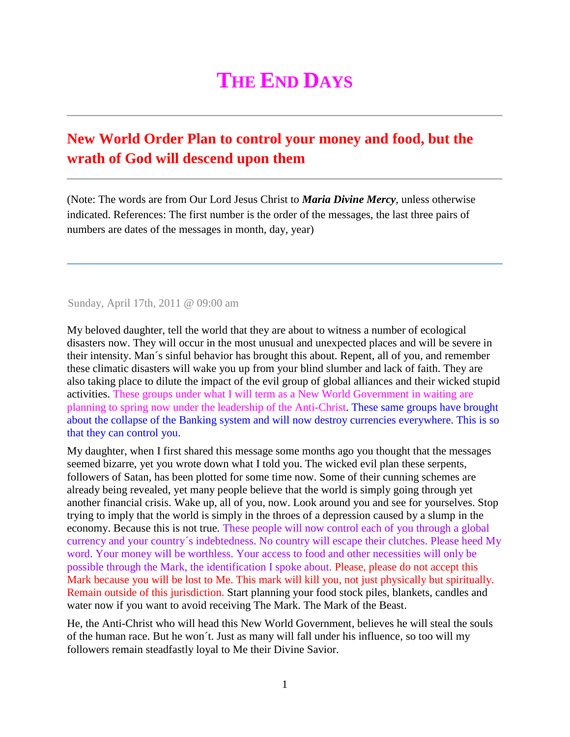## **THE END DAYS**

## **New World Order Plan to control your money and food, but the wrath of God will descend upon them**

(Note: The words are from Our Lord Jesus Christ to *Maria Divine Mercy*, unless otherwise indicated. References: The first number is the order of the messages, the last three pairs of numbers are dates of the messages in month, day, year)

Sunday, April 17th, 2011 @ 09:00 am

My beloved daughter, tell the world that they are about to witness a number of ecological disasters now. They will occur in the most unusual and unexpected places and will be severe in their intensity. Man´s sinful behavior has brought this about. Repent, all of you, and remember these climatic disasters will wake you up from your blind slumber and lack of faith. They are also taking place to dilute the impact of the evil group of global alliances and their wicked stupid activities. These groups under what I will term as a New World Government in waiting are planning to spring now under the leadership of the Anti-Christ. These same groups have brought about the collapse of the Banking system and will now destroy currencies everywhere. This is so that they can control you.

My daughter, when I first shared this message some months ago you thought that the messages seemed bizarre, yet you wrote down what I told you. The wicked evil plan these serpents, followers of Satan, has been plotted for some time now. Some of their cunning schemes are already being revealed, yet many people believe that the world is simply going through yet another financial crisis. Wake up, all of you, now. Look around you and see for yourselves. Stop trying to imply that the world is simply in the throes of a depression caused by a slump in the economy. Because this is not true. These people will now control each of you through a global currency and your country´s indebtedness. No country will escape their clutches. Please heed My word. Your money will be worthless. Your access to food and other necessities will only be possible through the Mark, the identification I spoke about. Please, please do not accept this Mark because you will be lost to Me. This mark will kill you, not just physically but spiritually. Remain outside of this jurisdiction. Start planning your food stock piles, blankets, candles and water now if you want to avoid receiving The Mark. The Mark of the Beast.

He, the Anti-Christ who will head this New World Government, believes he will steal the souls of the human race. But he won´t. Just as many will fall under his influence, so too will my followers remain steadfastly loyal to Me their Divine Savior.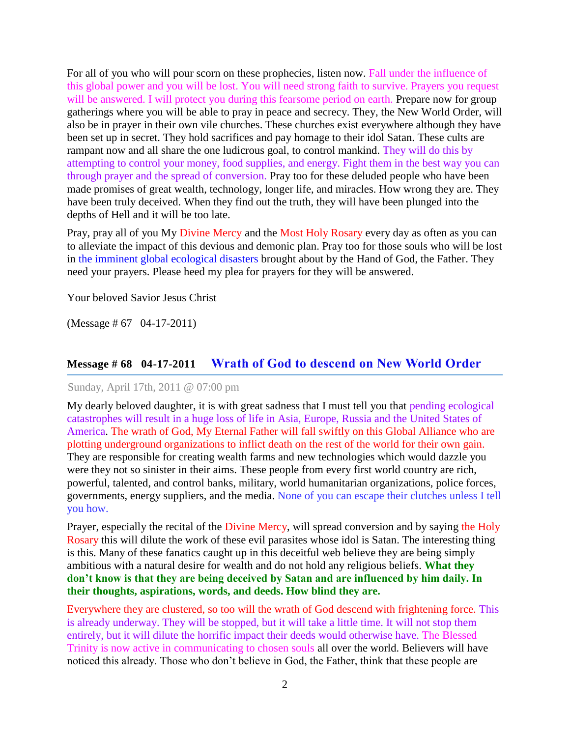For all of you who will pour scorn on these prophecies, listen now. Fall under the influence of this global power and you will be lost. You will need strong faith to survive. Prayers you request will be answered. I will protect you during this fearsome period on earth. Prepare now for group gatherings where you will be able to pray in peace and secrecy. They, the New World Order, will also be in prayer in their own vile churches. These churches exist everywhere although they have been set up in secret. They hold sacrifices and pay homage to their idol Satan. These cults are rampant now and all share the one ludicrous goal, to control mankind. They will do this by attempting to control your money, food supplies, and energy. Fight them in the best way you can through prayer and the spread of conversion. Pray too for these deluded people who have been made promises of great wealth, technology, longer life, and miracles. How wrong they are. They have been truly deceived. When they find out the truth, they will have been plunged into the depths of Hell and it will be too late.

Pray, pray all of you My [Divine Mercy](http://www.thewarningsecondcoming.com/divine-mercy-chaplet/) and the [Most Holy Rosary](http://www.thewarningsecondcoming.com/how-to-pray-the-rosary/) every day as often as you can to alleviate the impact of this devious and demonic plan. Pray too for those souls who will be lost in the imminent global ecological disasters brought about by the Hand of God, the Father. They need your prayers. Please heed my plea for prayers for they will be answered.

Your beloved Savior Jesus Christ

(Message # 67 04-17-2011)

## **Message # 68 04-17-2011 [Wrath of God to descend on New World Order](http://www.thewarningsecondcoming.com/wrath-of-god-to-descend-on-new-world-order/)**

Sunday, April 17th, 2011 @ 07:00 pm

My dearly beloved daughter, it is with great sadness that I must tell you that pending ecological catastrophes will result in a huge loss of life in Asia, Europe, Russia and the United States of America. The wrath of God, My Eternal Father will fall swiftly on this Global Alliance who are plotting underground organizations to inflict death on the rest of the world for their own gain. They are responsible for creating wealth farms and new technologies which would dazzle you were they not so sinister in their aims. These people from every first world country are rich, powerful, talented, and control banks, military, world humanitarian organizations, police forces, governments, energy suppliers, and the media. None of you can escape their clutches unless I tell you how.

Prayer, especially the recital of the [Divine Mercy,](http://www.thewarningsecondcoming.com/divine-mercy-chaplet/) will spread conversion and by saying [the Holy](http://www.thewarningsecondcoming.com/how-to-pray-the-rosary/)  [Rosary](http://www.thewarningsecondcoming.com/how-to-pray-the-rosary/) this will dilute the work of these evil parasites whose idol is Satan. The interesting thing is this. Many of these fanatics caught up in this deceitful web believe they are being simply ambitious with a natural desire for wealth and do not hold any religious beliefs. **What they don't know is that they are being deceived by Satan and are influenced by him daily. In their thoughts, aspirations, words, and deeds. How blind they are.**

Everywhere they are clustered, so too will the wrath of God descend with frightening force. This is already underway. They will be stopped, but it will take a little time. It will not stop them entirely, but it will dilute the horrific impact their deeds would otherwise have. The Blessed Trinity is now active in communicating to chosen souls all over the world. Believers will have noticed this already. Those who don't believe in God, the Father, think that these people are